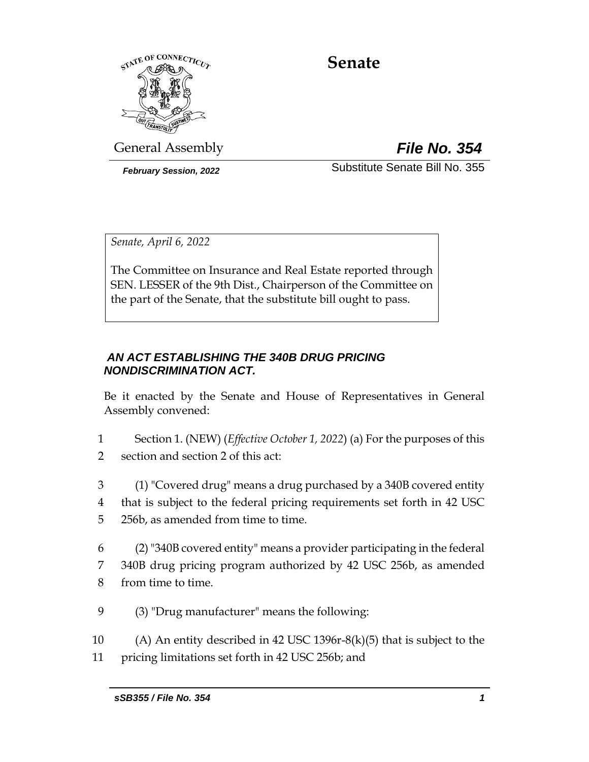

# **Senate**

General Assembly *File No. 354*

*February Session, 2022* Substitute Senate Bill No. 355

*Senate, April 6, 2022*

The Committee on Insurance and Real Estate reported through SEN. LESSER of the 9th Dist., Chairperson of the Committee on the part of the Senate, that the substitute bill ought to pass.

# *AN ACT ESTABLISHING THE 340B DRUG PRICING NONDISCRIMINATION ACT.*

Be it enacted by the Senate and House of Representatives in General Assembly convened:

- 1 Section 1. (NEW) (*Effective October 1, 2022*) (a) For the purposes of this 2 section and section 2 of this act:
- 3 (1) "Covered drug" means a drug purchased by a 340B covered entity 4 that is subject to the federal pricing requirements set forth in 42 USC 5 256b, as amended from time to time.
- 6 (2) "340B covered entity" means a provider participating in the federal 7 340B drug pricing program authorized by 42 USC 256b, as amended 8 from time to time.
- 9 (3) "Drug manufacturer" means the following:

10 (A) An entity described in 42 USC 1396r-8(k)(5) that is subject to the 11 pricing limitations set forth in 42 USC 256b; and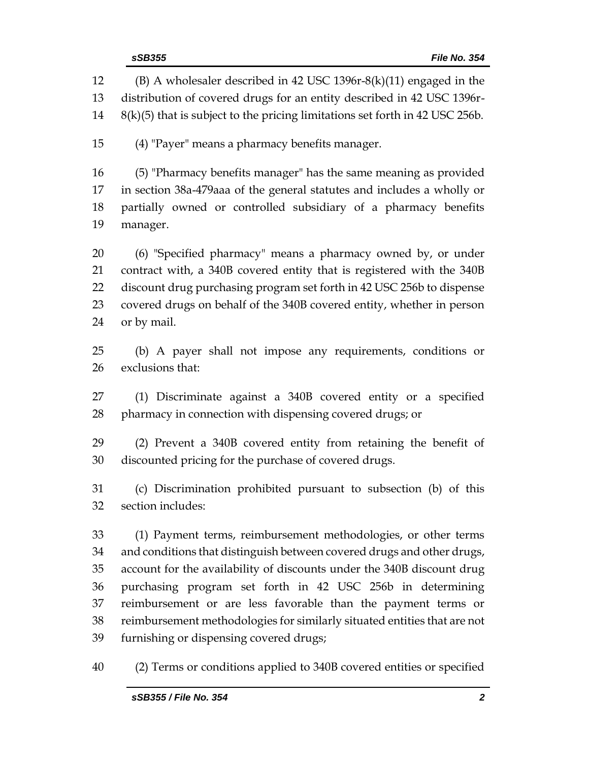(B) A wholesaler described in 42 USC 1396r-8(k)(11) engaged in the distribution of covered drugs for an entity described in 42 USC 1396r- 8(k)(5) that is subject to the pricing limitations set forth in 42 USC 256b. (4) "Payer" means a pharmacy benefits manager. (5) "Pharmacy benefits manager" has the same meaning as provided in section 38a-479aaa of the general statutes and includes a wholly or partially owned or controlled subsidiary of a pharmacy benefits manager. (6) "Specified pharmacy" means a pharmacy owned by, or under contract with, a 340B covered entity that is registered with the 340B discount drug purchasing program set forth in 42 USC 256b to dispense covered drugs on behalf of the 340B covered entity, whether in person or by mail. (b) A payer shall not impose any requirements, conditions or exclusions that: (1) Discriminate against a 340B covered entity or a specified pharmacy in connection with dispensing covered drugs; or (2) Prevent a 340B covered entity from retaining the benefit of discounted pricing for the purchase of covered drugs. (c) Discrimination prohibited pursuant to subsection (b) of this section includes: (1) Payment terms, reimbursement methodologies, or other terms and conditions that distinguish between covered drugs and other drugs, account for the availability of discounts under the 340B discount drug purchasing program set forth in 42 USC 256b in determining reimbursement or are less favorable than the payment terms or reimbursement methodologies for similarly situated entities that are not furnishing or dispensing covered drugs; (2) Terms or conditions applied to 340B covered entities or specified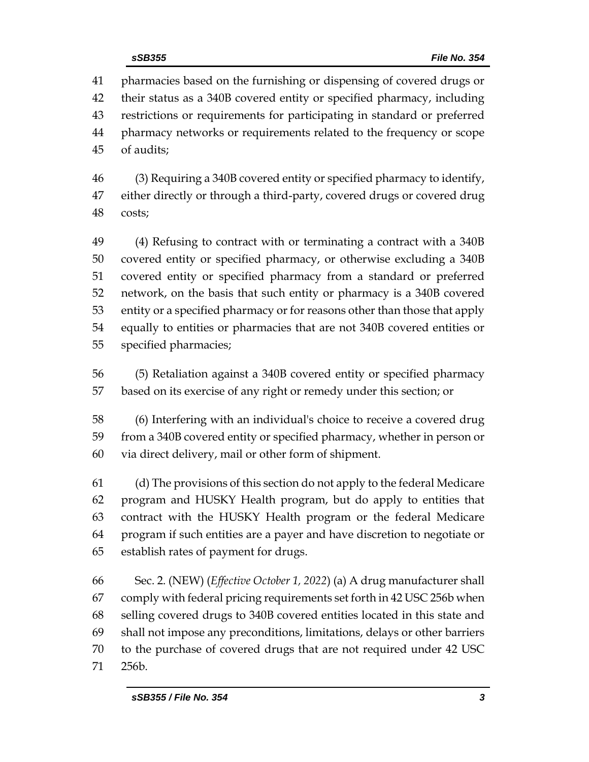pharmacies based on the furnishing or dispensing of covered drugs or their status as a 340B covered entity or specified pharmacy, including restrictions or requirements for participating in standard or preferred pharmacy networks or requirements related to the frequency or scope of audits;

 (3) Requiring a 340B covered entity or specified pharmacy to identify, either directly or through a third-party, covered drugs or covered drug costs;

 (4) Refusing to contract with or terminating a contract with a 340B covered entity or specified pharmacy, or otherwise excluding a 340B covered entity or specified pharmacy from a standard or preferred network, on the basis that such entity or pharmacy is a 340B covered entity or a specified pharmacy or for reasons other than those that apply equally to entities or pharmacies that are not 340B covered entities or specified pharmacies;

 (5) Retaliation against a 340B covered entity or specified pharmacy based on its exercise of any right or remedy under this section; or

 (6) Interfering with an individual's choice to receive a covered drug from a 340B covered entity or specified pharmacy, whether in person or via direct delivery, mail or other form of shipment.

 (d) The provisions of this section do not apply to the federal Medicare program and HUSKY Health program, but do apply to entities that contract with the HUSKY Health program or the federal Medicare program if such entities are a payer and have discretion to negotiate or establish rates of payment for drugs.

 Sec. 2. (NEW) (*Effective October 1, 2022*) (a) A drug manufacturer shall comply with federal pricing requirements set forth in 42 USC 256b when selling covered drugs to 340B covered entities located in this state and shall not impose any preconditions, limitations, delays or other barriers to the purchase of covered drugs that are not required under 42 USC 256b.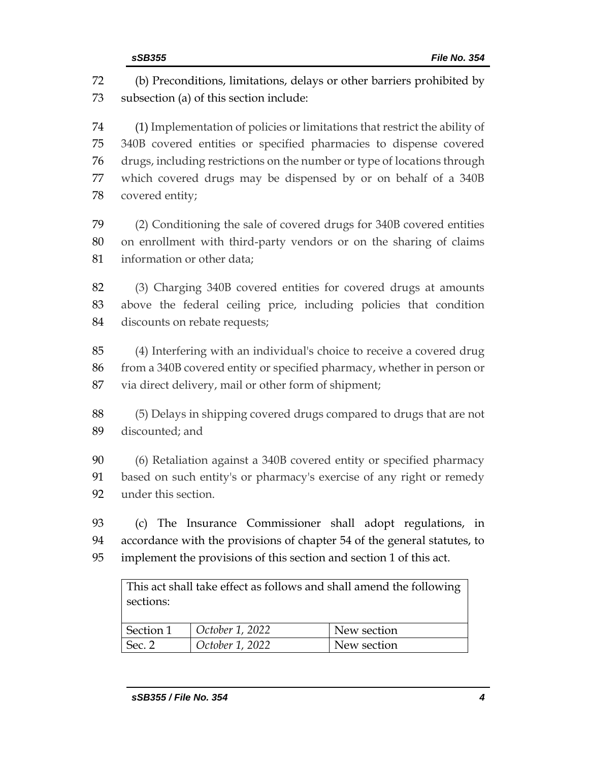(b) Preconditions, limitations, delays or other barriers prohibited by subsection (a) of this section include:

 (1) Implementation of policies or limitations that restrict the ability of 340B covered entities or specified pharmacies to dispense covered drugs, including restrictions on the number or type of locations through which covered drugs may be dispensed by or on behalf of a 340B covered entity;

 (2) Conditioning the sale of covered drugs for 340B covered entities on enrollment with third-party vendors or on the sharing of claims information or other data;

 (3) Charging 340B covered entities for covered drugs at amounts above the federal ceiling price, including policies that condition discounts on rebate requests;

 (4) Interfering with an individual's choice to receive a covered drug from a 340B covered entity or specified pharmacy, whether in person or via direct delivery, mail or other form of shipment;

 (5) Delays in shipping covered drugs compared to drugs that are not discounted; and

 (6) Retaliation against a 340B covered entity or specified pharmacy based on such entity's or pharmacy's exercise of any right or remedy under this section.

 (c) The Insurance Commissioner shall adopt regulations, in accordance with the provisions of chapter 54 of the general statutes, to implement the provisions of this section and section 1 of this act.

This act shall take effect as follows and shall amend the following sections:

| Section 1 | October 1, 2022 | New section |
|-----------|-----------------|-------------|
| Sec. 2    | October 1, 2022 | New section |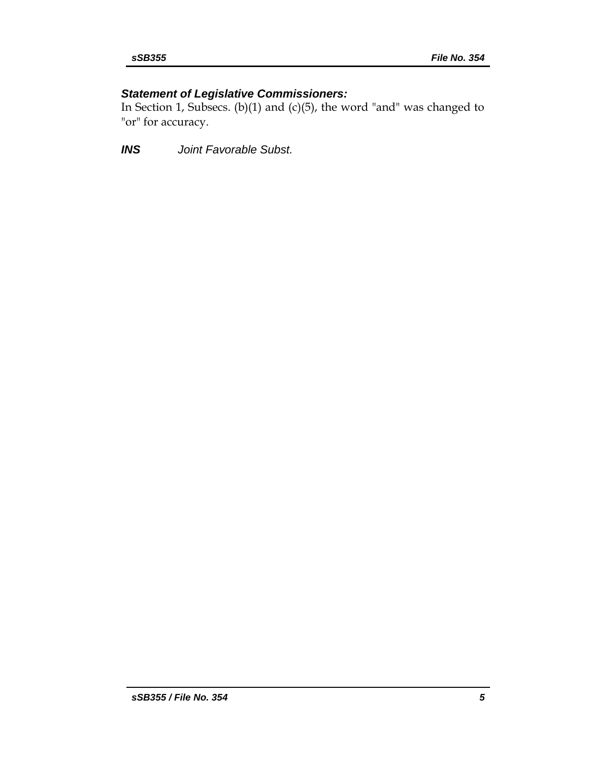# *Statement of Legislative Commissioners:*

In Section 1, Subsecs. (b)(1) and (c)(5), the word "and" was changed to "or" for accuracy.

*INS Joint Favorable Subst.*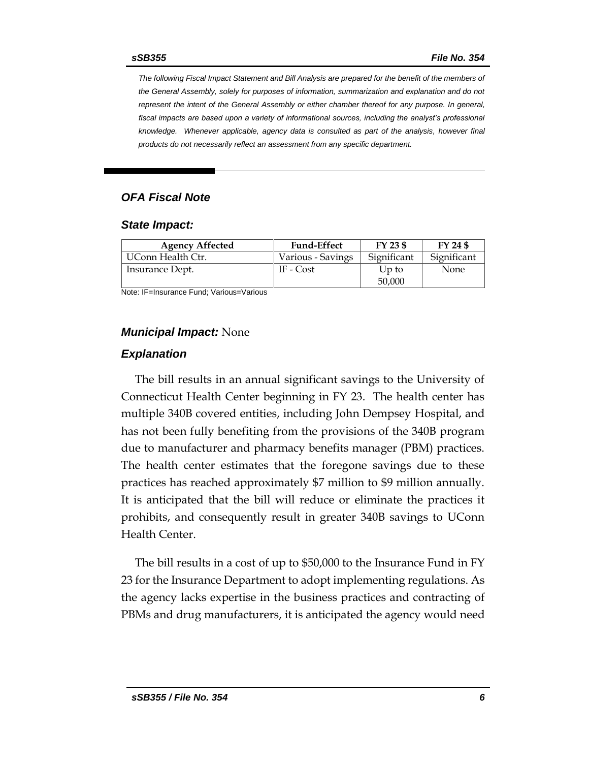*The following Fiscal Impact Statement and Bill Analysis are prepared for the benefit of the members of the General Assembly, solely for purposes of information, summarization and explanation and do not represent the intent of the General Assembly or either chamber thereof for any purpose. In general,*  fiscal impacts are based upon a variety of informational sources, including the analyst's professional *knowledge. Whenever applicable, agency data is consulted as part of the analysis, however final products do not necessarily reflect an assessment from any specific department.*

#### *OFA Fiscal Note*

#### *State Impact:*

| <b>Agency Affected</b> | <b>Fund-Effect</b> | FY 23 \$        | FY 24 \$    |
|------------------------|--------------------|-----------------|-------------|
| UConn Health Ctr.      | Various - Savings  | Significant     | Significant |
| Insurance Dept.        | IF - Cost          | Up to<br>50,000 | None        |

Note: IF=Insurance Fund; Various=Various

#### *Municipal Impact:* None

#### *Explanation*

The bill results in an annual significant savings to the University of Connecticut Health Center beginning in FY 23. The health center has multiple 340B covered entities, including John Dempsey Hospital, and has not been fully benefiting from the provisions of the 340B program due to manufacturer and pharmacy benefits manager (PBM) practices. The health center estimates that the foregone savings due to these practices has reached approximately \$7 million to \$9 million annually. It is anticipated that the bill will reduce or eliminate the practices it prohibits, and consequently result in greater 340B savings to UConn Health Center.

The bill results in a cost of up to \$50,000 to the Insurance Fund in FY 23 for the Insurance Department to adopt implementing regulations. As the agency lacks expertise in the business practices and contracting of PBMs and drug manufacturers, it is anticipated the agency would need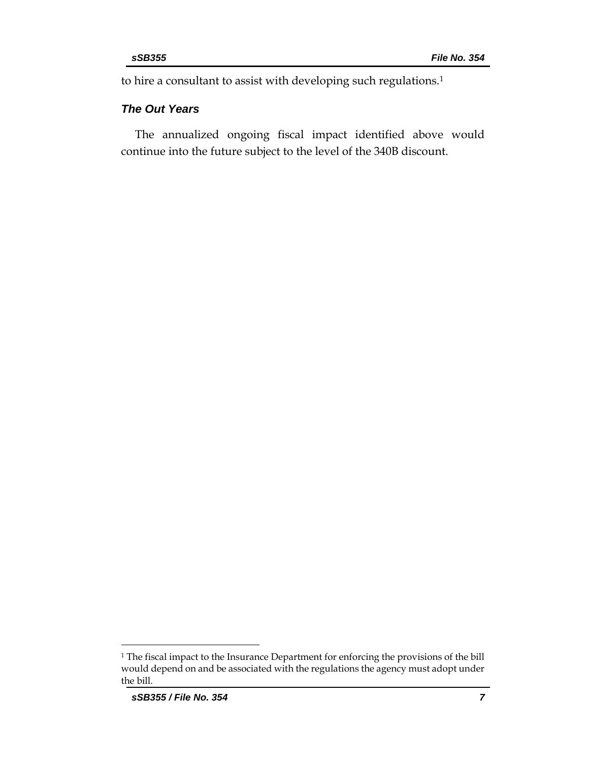to hire a consultant to assist with developing such regulations. 1

#### *The Out Years*

The annualized ongoing fiscal impact identified above would continue into the future subject to the level of the 340B discount.

<sup>1</sup> The fiscal impact to the Insurance Department for enforcing the provisions of the bill would depend on and be associated with the regulations the agency must adopt under the bill.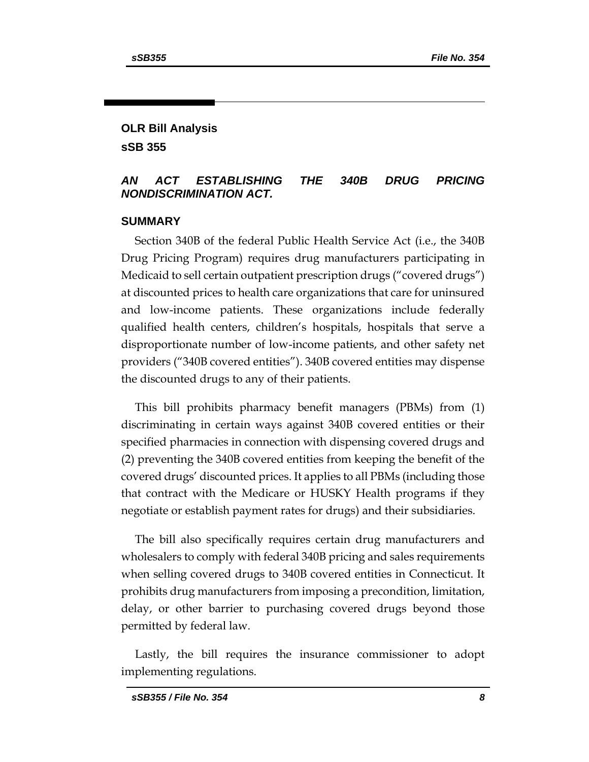# **OLR Bill Analysis sSB 355**

# *AN ACT ESTABLISHING THE 340B DRUG PRICING NONDISCRIMINATION ACT.*

### **SUMMARY**

Section 340B of the federal Public Health Service Act (i.e., the 340B Drug Pricing Program) requires drug manufacturers participating in Medicaid to sell certain outpatient prescription drugs ("covered drugs") at discounted prices to health care organizations that care for uninsured and low-income patients. These organizations include federally qualified health centers, children's hospitals, hospitals that serve a disproportionate number of low-income patients, and other safety net providers ("340B covered entities"). 340B covered entities may dispense the discounted drugs to any of their patients.

This bill prohibits pharmacy benefit managers (PBMs) from (1) discriminating in certain ways against 340B covered entities or their specified pharmacies in connection with dispensing covered drugs and (2) preventing the 340B covered entities from keeping the benefit of the covered drugs' discounted prices. It applies to all PBMs (including those that contract with the Medicare or HUSKY Health programs if they negotiate or establish payment rates for drugs) and their subsidiaries.

The bill also specifically requires certain drug manufacturers and wholesalers to comply with federal 340B pricing and sales requirements when selling covered drugs to 340B covered entities in Connecticut. It prohibits drug manufacturers from imposing a precondition, limitation, delay, or other barrier to purchasing covered drugs beyond those permitted by federal law.

Lastly, the bill requires the insurance commissioner to adopt implementing regulations.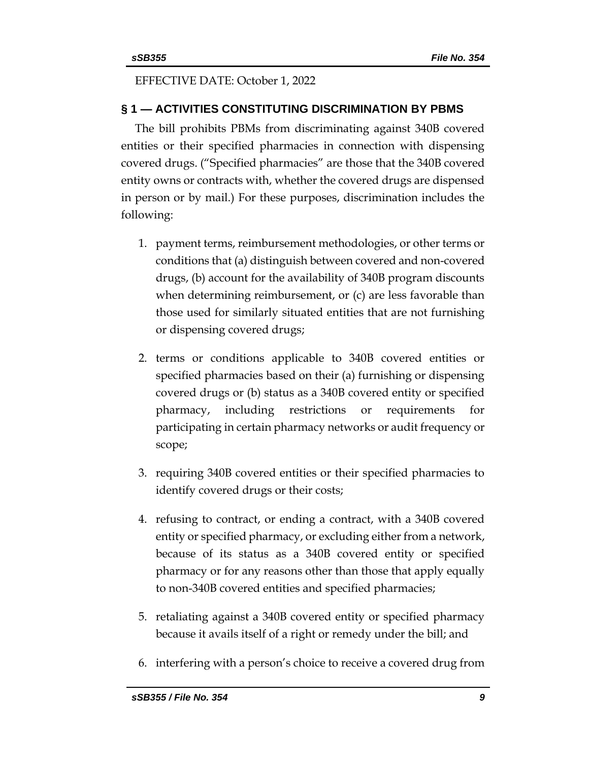### EFFECTIVE DATE: October 1, 2022

# **§ 1 — ACTIVITIES CONSTITUTING DISCRIMINATION BY PBMS**

The bill prohibits PBMs from discriminating against 340B covered entities or their specified pharmacies in connection with dispensing covered drugs. ("Specified pharmacies" are those that the 340B covered entity owns or contracts with, whether the covered drugs are dispensed in person or by mail.) For these purposes, discrimination includes the following:

- 1. payment terms, reimbursement methodologies, or other terms or conditions that (a) distinguish between covered and non-covered drugs, (b) account for the availability of 340B program discounts when determining reimbursement, or (c) are less favorable than those used for similarly situated entities that are not furnishing or dispensing covered drugs;
- 2. terms or conditions applicable to 340B covered entities or specified pharmacies based on their (a) furnishing or dispensing covered drugs or (b) status as a 340B covered entity or specified pharmacy, including restrictions or requirements for participating in certain pharmacy networks or audit frequency or scope;
- 3. requiring 340B covered entities or their specified pharmacies to identify covered drugs or their costs;
- 4. refusing to contract, or ending a contract, with a 340B covered entity or specified pharmacy, or excluding either from a network, because of its status as a 340B covered entity or specified pharmacy or for any reasons other than those that apply equally to non-340B covered entities and specified pharmacies;
- 5. retaliating against a 340B covered entity or specified pharmacy because it avails itself of a right or remedy under the bill; and
- 6. interfering with a person's choice to receive a covered drug from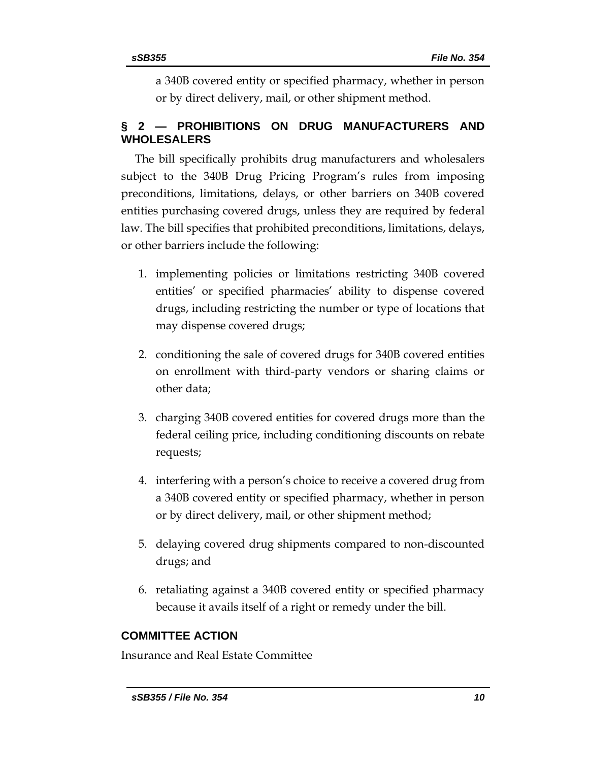a 340B covered entity or specified pharmacy, whether in person or by direct delivery, mail, or other shipment method.

# **§ 2 — PROHIBITIONS ON DRUG MANUFACTURERS AND WHOLESALERS**

The bill specifically prohibits drug manufacturers and wholesalers subject to the 340B Drug Pricing Program's rules from imposing preconditions, limitations, delays, or other barriers on 340B covered entities purchasing covered drugs, unless they are required by federal law. The bill specifies that prohibited preconditions, limitations, delays, or other barriers include the following:

- 1. implementing policies or limitations restricting 340B covered entities' or specified pharmacies' ability to dispense covered drugs, including restricting the number or type of locations that may dispense covered drugs;
- 2. conditioning the sale of covered drugs for 340B covered entities on enrollment with third-party vendors or sharing claims or other data;
- 3. charging 340B covered entities for covered drugs more than the federal ceiling price, including conditioning discounts on rebate requests;
- 4. interfering with a person's choice to receive a covered drug from a 340B covered entity or specified pharmacy, whether in person or by direct delivery, mail, or other shipment method;
- 5. delaying covered drug shipments compared to non-discounted drugs; and
- 6. retaliating against a 340B covered entity or specified pharmacy because it avails itself of a right or remedy under the bill.

# **COMMITTEE ACTION**

Insurance and Real Estate Committee